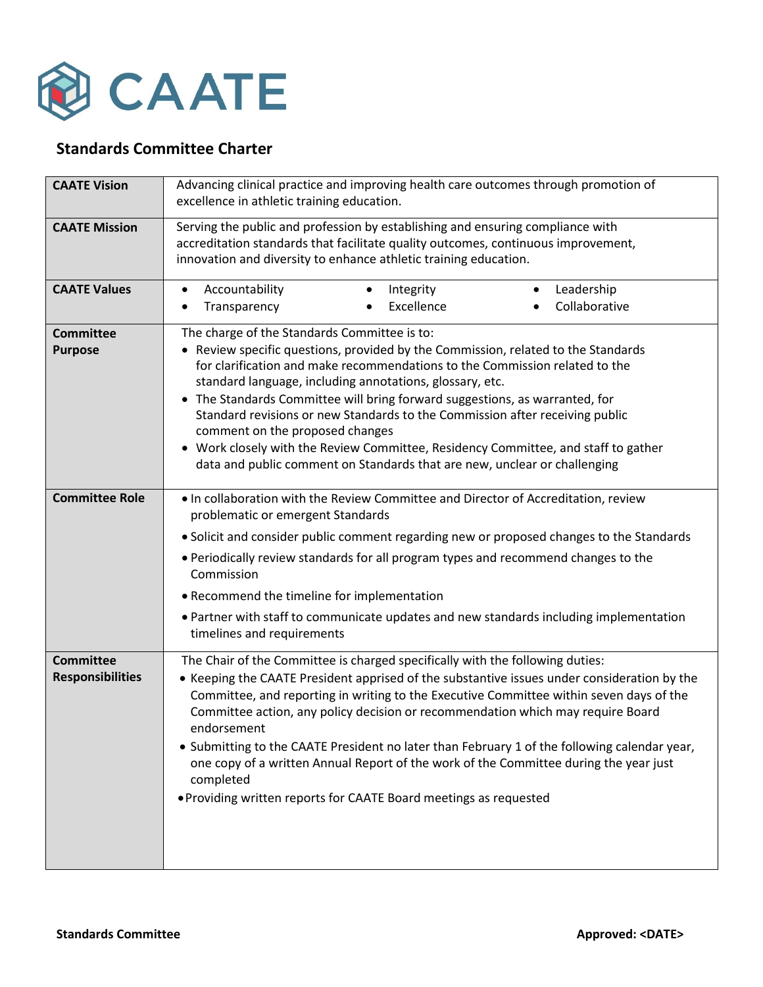

## **Standards Committee Charter**

| <b>CAATE Vision</b>                         | Advancing clinical practice and improving health care outcomes through promotion of<br>excellence in athletic training education.                                                                                                                                                                                                                                                                                                                                                                                                                                                                                                                    |
|---------------------------------------------|------------------------------------------------------------------------------------------------------------------------------------------------------------------------------------------------------------------------------------------------------------------------------------------------------------------------------------------------------------------------------------------------------------------------------------------------------------------------------------------------------------------------------------------------------------------------------------------------------------------------------------------------------|
| <b>CAATE Mission</b>                        | Serving the public and profession by establishing and ensuring compliance with<br>accreditation standards that facilitate quality outcomes, continuous improvement,<br>innovation and diversity to enhance athletic training education.                                                                                                                                                                                                                                                                                                                                                                                                              |
| <b>CAATE Values</b>                         | Accountability<br>Leadership<br>Integrity<br>$\bullet$<br>$\bullet$<br>Collaborative<br>Excellence<br>Transparency<br>٠                                                                                                                                                                                                                                                                                                                                                                                                                                                                                                                              |
| <b>Committee</b><br><b>Purpose</b>          | The charge of the Standards Committee is to:<br>• Review specific questions, provided by the Commission, related to the Standards<br>for clarification and make recommendations to the Commission related to the<br>standard language, including annotations, glossary, etc.<br>• The Standards Committee will bring forward suggestions, as warranted, for<br>Standard revisions or new Standards to the Commission after receiving public<br>comment on the proposed changes<br>• Work closely with the Review Committee, Residency Committee, and staff to gather<br>data and public comment on Standards that are new, unclear or challenging    |
| <b>Committee Role</b>                       | . In collaboration with the Review Committee and Director of Accreditation, review<br>problematic or emergent Standards<br>• Solicit and consider public comment regarding new or proposed changes to the Standards<br>. Periodically review standards for all program types and recommend changes to the<br>Commission<br>• Recommend the timeline for implementation<br>• Partner with staff to communicate updates and new standards including implementation<br>timelines and requirements                                                                                                                                                       |
| <b>Committee</b><br><b>Responsibilities</b> | The Chair of the Committee is charged specifically with the following duties:<br>• Keeping the CAATE President apprised of the substantive issues under consideration by the<br>Committee, and reporting in writing to the Executive Committee within seven days of the<br>Committee action, any policy decision or recommendation which may require Board<br>endorsement<br>• Submitting to the CAATE President no later than February 1 of the following calendar year,<br>one copy of a written Annual Report of the work of the Committee during the year just<br>completed<br>• Providing written reports for CAATE Board meetings as requested |